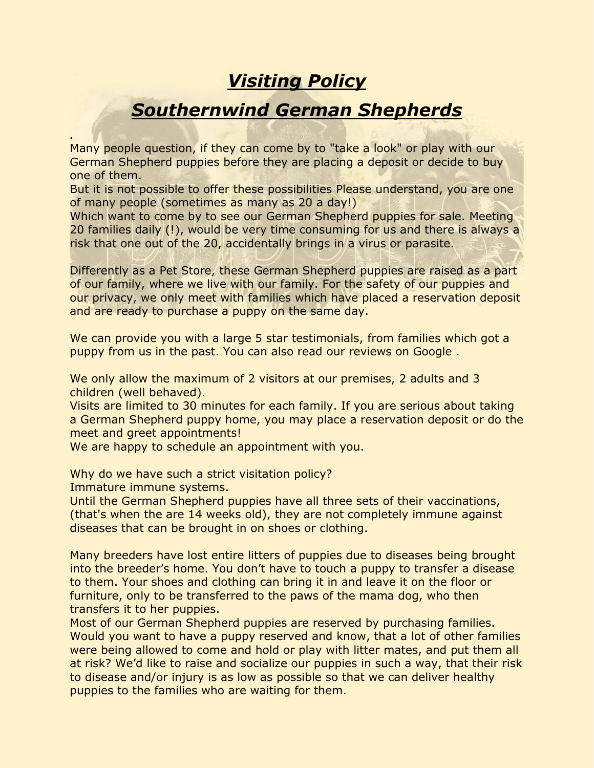## *Visiting Policy*

## *Southernwind German Shepherds*

Many people question, if they can come by to "take a look" or play with our German Shepherd puppies before they are placing a deposit or decide to buy one of them.

But it is not possible to offer these possibilities Please understand, you are one of many people (sometimes as many as 20 a day!)

Which want to come by to see our German Shepherd puppies for sale. Meeting 20 families daily (!), would be very time consuming for us and there is always a risk that one out of the 20, accidentally brings in a virus or parasite.

Differently as a Pet Store, these German Shepherd puppies are raised as a part of our family, where we live with our family. For the safety of our puppies and our privacy, we only meet with families which have placed a reservation deposit and are ready to purchase a puppy on the same day.

We can provide you with a large 5 star testimonials, from families which got a puppy from us in the past. You can also read our reviews on Google .

We only allow the maximum of 2 visitors at our premises, 2 adults and 3 children (well behaved).

Visits are limited to 30 minutes for each family. If you are serious about taking a German Shepherd puppy home, you may place a reservation deposit or do the meet and greet appointments!

We are happy to schedule an appointment with you.

Why do we have such a strict visitation policy? Immature immune systems.

*.*

Until the German Shepherd puppies have all three sets of their vaccinations, (that's when the are 14 weeks old), they are not completely immune against diseases that can be brought in on shoes or clothing.

Many breeders have lost entire litters of puppies due to diseases being brought into the breeder's home. You don't have to touch a puppy to transfer a disease to them. Your shoes and clothing can bring it in and leave it on the floor or furniture, only to be transferred to the paws of the mama dog, who then transfers it to her puppies.

Most of our German Shepherd puppies are reserved by purchasing families. Would you want to have a puppy reserved and know, that a lot of other families were being allowed to come and hold or play with litter mates, and put them all at risk? We'd like to raise and socialize our puppies in such a way, that their risk to disease and/or injury is as low as possible so that we can deliver healthy puppies to the families who are waiting for them.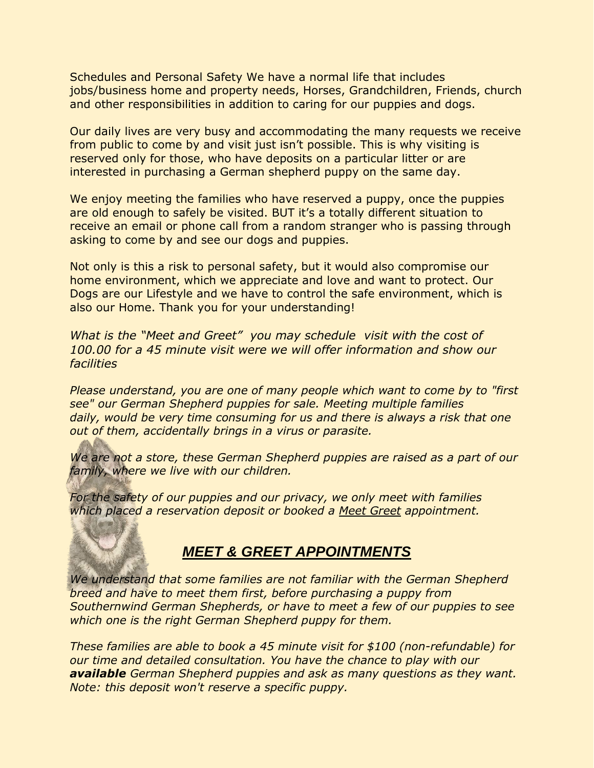Schedules and Personal Safety We have a normal life that includes jobs/business home and property needs, Horses, Grandchildren, Friends, church and other responsibilities in addition to caring for our puppies and dogs.

Our daily lives are very busy and accommodating the many requests we receive from public to come by and visit just isn't possible. This is why visiting is reserved only for those, who have deposits on a particular litter or are interested in purchasing a German shepherd puppy on the same day.

We enjoy meeting the families who have reserved a puppy, once the puppies are old enough to safely be visited. BUT it's a totally different situation to receive an email or phone call from a random stranger who is passing through asking to come by and see our dogs and puppies.

Not only is this a risk to personal safety, but it would also compromise our home environment, which we appreciate and love and want to protect. Our Dogs are our Lifestyle and we have to control the safe environment, which is also our Home. Thank you for your understanding!

*What is the "Meet and Greet" you may schedule visit with the cost of 100.00 for a 45 minute visit were we will offer information and show our facilities*

*Please understand, you are one of many people which want to come by to "first see" our German Shepherd puppies for sale. Meeting multiple families daily, would be very time consuming for us and there is always a risk that one out of them, accidentally brings in a virus or parasite.*

*We are not a store, these German Shepherd puppies are raised as a part of our family, where we live with our children.*

*For the safety of our puppies and our privacy, we only meet with families which placed a reservation deposit or booked a Meet Greet appointment.*

## *MEET & GREET APPOINTMENTS*

*We understand that some families are not familiar with the German Shepherd breed and have to meet them first, before purchasing a puppy from Southernwind German Shepherds, or have to meet a few of our puppies to see which one is the right German Shepherd puppy for them.*

*These families are able to book a 45 minute visit for \$100 (non-refundable) for our time and detailed consultation. You have the chance to play with our available German Shepherd puppies and ask as many questions as they want. Note: this deposit won't reserve a specific puppy.*